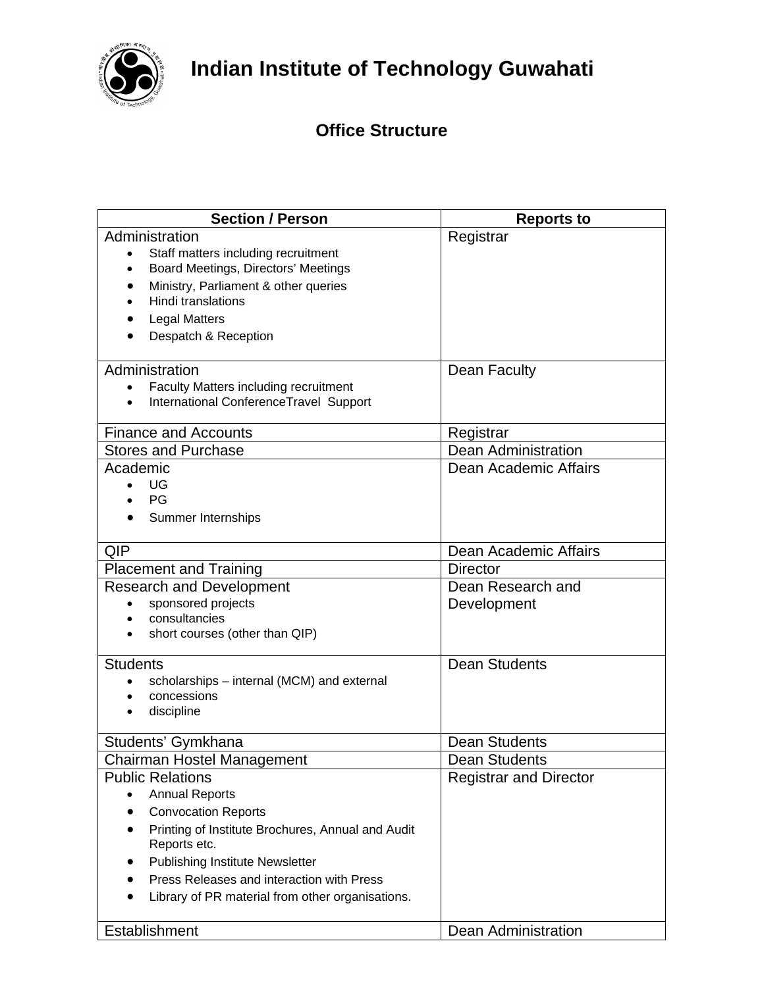

## **Indian Institute of Technology Guwahati**

## **Office Structure**

| <b>Section / Person</b>                                           | <b>Reports to</b>             |
|-------------------------------------------------------------------|-------------------------------|
| Administration                                                    | Registrar                     |
| Staff matters including recruitment<br>$\bullet$                  |                               |
| Board Meetings, Directors' Meetings<br>$\bullet$                  |                               |
| Ministry, Parliament & other queries<br>Hindi translations        |                               |
|                                                                   |                               |
| <b>Legal Matters</b><br>Despatch & Reception                      |                               |
|                                                                   |                               |
| Administration                                                    | Dean Faculty                  |
| Faculty Matters including recruitment<br>$\bullet$                |                               |
| International ConferenceTravel Support<br>$\bullet$               |                               |
| <b>Finance and Accounts</b>                                       | Registrar                     |
| <b>Stores and Purchase</b>                                        | <b>Dean Administration</b>    |
| Academic                                                          | Dean Academic Affairs         |
| UG                                                                |                               |
| PG                                                                |                               |
| Summer Internships                                                |                               |
| <b>QIP</b>                                                        | Dean Academic Affairs         |
| <b>Placement and Training</b>                                     | <b>Director</b>               |
| <b>Research and Development</b>                                   | Dean Research and             |
| sponsored projects                                                | Development                   |
| consultancies<br>short courses (other than QIP)                   |                               |
|                                                                   |                               |
| <b>Students</b>                                                   | <b>Dean Students</b>          |
| scholarships - internal (MCM) and external                        |                               |
| concessions                                                       |                               |
| discipline                                                        |                               |
| Students' Gymkhana                                                | <b>Dean Students</b>          |
| Chairman Hostel Management                                        | <b>Dean Students</b>          |
| <b>Public Relations</b>                                           | <b>Registrar and Director</b> |
| <b>Annual Reports</b>                                             |                               |
| <b>Convocation Reports</b>                                        |                               |
| Printing of Institute Brochures, Annual and Audit<br>Reports etc. |                               |
| Publishing Institute Newsletter                                   |                               |
| Press Releases and interaction with Press                         |                               |
| Library of PR material from other organisations.                  |                               |
| Establishment                                                     | Dean Administration           |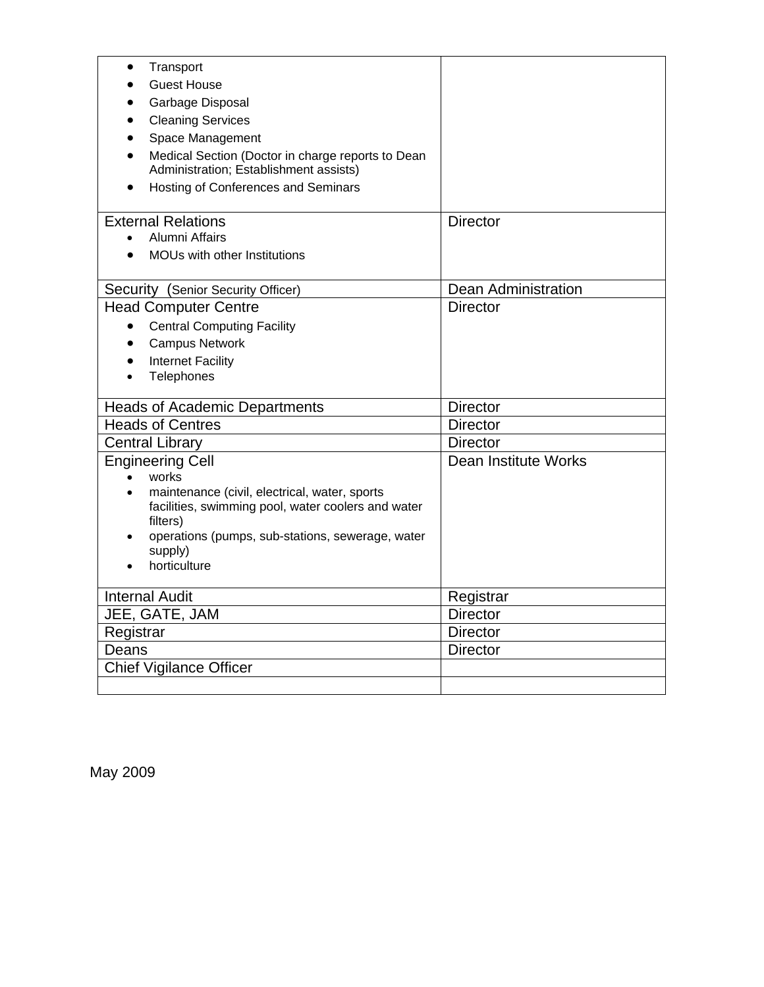| Transport                                                   |                      |
|-------------------------------------------------------------|----------------------|
| <b>Guest House</b>                                          |                      |
| Garbage Disposal                                            |                      |
| <b>Cleaning Services</b>                                    |                      |
| Space Management                                            |                      |
| Medical Section (Doctor in charge reports to Dean           |                      |
| Administration; Establishment assists)                      |                      |
| Hosting of Conferences and Seminars                         |                      |
| <b>External Relations</b>                                   | <b>Director</b>      |
| <b>Alumni Affairs</b>                                       |                      |
| MOUs with other Institutions                                |                      |
|                                                             |                      |
| Security (Senior Security Officer)                          | Dean Administration  |
| <b>Head Computer Centre</b>                                 | <b>Director</b>      |
| <b>Central Computing Facility</b><br>$\bullet$              |                      |
| <b>Campus Network</b>                                       |                      |
| <b>Internet Facility</b><br>$\bullet$                       |                      |
| Telephones<br>$\bullet$                                     |                      |
| <b>Heads of Academic Departments</b>                        | <b>Director</b>      |
| <b>Heads of Centres</b>                                     | <b>Director</b>      |
| <b>Central Library</b>                                      | <b>Director</b>      |
| <b>Engineering Cell</b>                                     | Dean Institute Works |
| works<br>$\bullet$                                          |                      |
| maintenance (civil, electrical, water, sports               |                      |
| facilities, swimming pool, water coolers and water          |                      |
| filters)                                                    |                      |
| operations (pumps, sub-stations, sewerage, water<br>supply) |                      |
| horticulture                                                |                      |
|                                                             |                      |
| <b>Internal Audit</b>                                       | Registrar            |
| JEE, GATE, JAM                                              | <b>Director</b>      |
| Registrar                                                   | <b>Director</b>      |
| Deans                                                       | <b>Director</b>      |
| <b>Chief Vigilance Officer</b>                              |                      |
|                                                             |                      |

May 2009